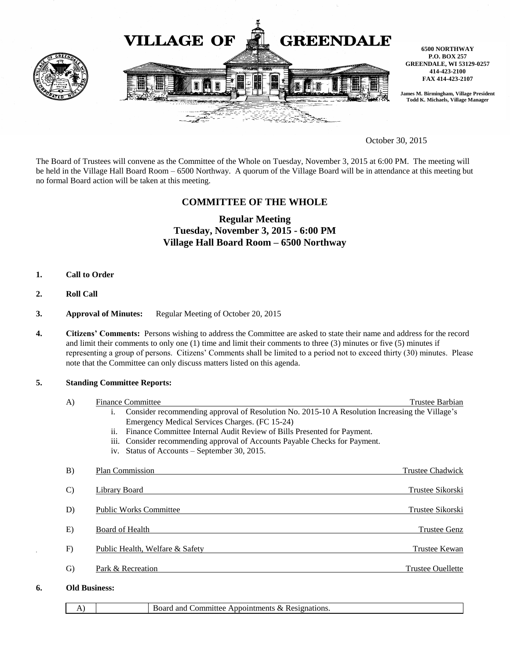

October 30, 2015

The Board of Trustees will convene as the Committee of the Whole on Tuesday, November 3, 2015 at 6:00 PM. The meeting will be held in the Village Hall Board Room – 6500 Northway. A quorum of the Village Board will be in attendance at this meeting but no formal Board action will be taken at this meeting.

## **COMMITTEE OF THE WHOLE**

# **Regular Meeting Tuesday, November 3, 2015 - 6:00 PM Village Hall Board Room – 6500 Northway**

- **1. Call to Order**
- **2. Roll Call**
- **3. Approval of Minutes:** Regular Meeting of October 20, 2015
- **4. Citizens' Comments:** Persons wishing to address the Committee are asked to state their name and address for the record and limit their comments to only one (1) time and limit their comments to three (3) minutes or five (5) minutes if representing a group of persons. Citizens' Comments shall be limited to a period not to exceed thirty (30) minutes. Please note that the Committee can only discuss matters listed on this agenda.

#### **5. Standing Committee Reports:**

|    | A)                   | <b>Finance Committee</b>                                                                                                         | Trustee Barbian          |
|----|----------------------|----------------------------------------------------------------------------------------------------------------------------------|--------------------------|
|    |                      | Consider recommending approval of Resolution No. 2015-10 A Resolution Increasing the Village's<br>i.                             |                          |
|    |                      | Emergency Medical Services Charges. (FC 15-24)<br>Finance Committee Internal Audit Review of Bills Presented for Payment.<br>ii. |                          |
|    |                      | Consider recommending approval of Accounts Payable Checks for Payment.<br><i>iii.</i>                                            |                          |
|    |                      | iv. Status of Accounts – September 30, 2015.                                                                                     |                          |
|    | B)                   | Plan Commission                                                                                                                  | <b>Trustee Chadwick</b>  |
|    | $\mathcal{C}$        | Library Board                                                                                                                    | Trustee Sikorski         |
|    | D)                   | <b>Public Works Committee</b>                                                                                                    | <b>Trustee Sikorski</b>  |
|    | E)                   | Board of Health                                                                                                                  | <b>Trustee Genz</b>      |
|    | F)                   | Public Health, Welfare & Safety                                                                                                  | Trustee Kewan            |
|    | $\mathrm{G}$         | Park & Recreation                                                                                                                | <b>Trustee Ouellette</b> |
| 6. | <b>Old Business:</b> |                                                                                                                                  |                          |

A) Board and Committee Appointments & Resignations.